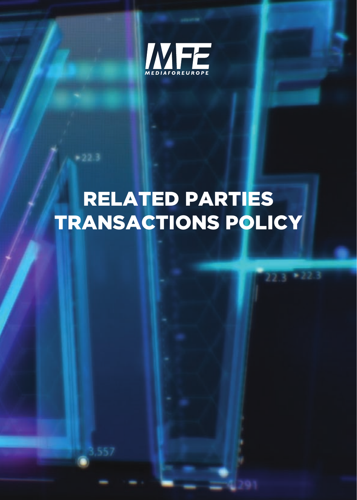

# RELATED PARTIES TRANSACTIONS POLICY

 $+223$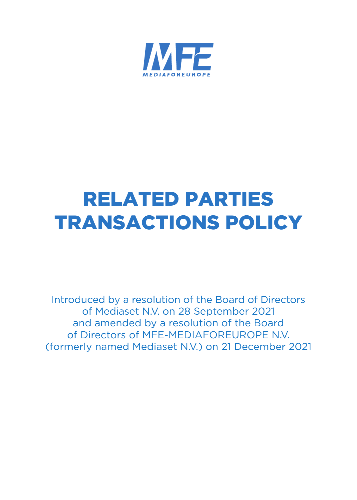

# RELATED PARTIES TRANSACTIONS POLICY

Introduced by a resolution of the Board of Directors Introduced by a resolution of the Board of Directors of Mediaset N.V. on 28 September 2021 of Mediaset N.V. on 28 September 2021and amended by a resolution of the Board of Directors of MFE-MEDIAFOREUROPE N.V. (formerly named Mediaset N.V.) on 21 December 2021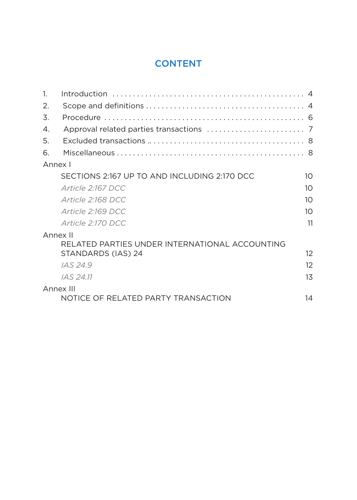# CONTENT

| 1.        |                                                |          |
|-----------|------------------------------------------------|----------|
| 2.        |                                                |          |
| 3.        |                                                |          |
| 4.        |                                                |          |
| 5.        |                                                |          |
| 6.        |                                                |          |
| Annex I   |                                                |          |
|           | SECTIONS 2:167 UP TO AND INCLUDING 2:170 DCC   | 10       |
|           | Article 2:167 DCC                              | 10       |
|           | Article 2:168 DCC                              | $1 \cap$ |
|           | Article 2:169 DCC                              | 10       |
|           | Article 2:170 DCC                              | 11       |
| Annex II  |                                                |          |
|           | RELATED PARTIES UNDER INTERNATIONAL ACCOUNTING | 12       |
|           | STANDARDS (IAS) 24<br>IAS 24.9                 | $12^{1}$ |
|           | IAS 24.11                                      | 13       |
|           |                                                |          |
| Annex III | NOTICE OF RELATED PARTY TRANSACTION            | 14       |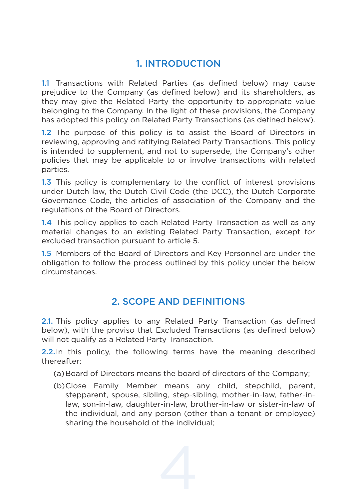## 1. INTRODUCTION

1.1 Transactions with Related Parties (as defined below) may cause prejudice to the Company (as defined below) and its shareholders, as they may give the Related Party the opportunity to appropriate value belonging to the Company. In the light of these provisions, the Company has adopted this policy on Related Party Transactions (as defined below).

1.2 The purpose of this policy is to assist the Board of Directors in reviewing, approving and ratifying Related Party Transactions. This policy is intended to supplement, and not to supersede, the Company's other policies that may be applicable to or involve transactions with related parties.

1.3 This policy is complementary to the conflict of interest provisions under Dutch law, the Dutch Civil Code (the DCC), the Dutch Corporate Governance Code, the articles of association of the Company and the regulations of the Board of Directors.

1.4 This policy applies to each Related Party Transaction as well as any material changes to an existing Related Party Transaction, except for excluded transaction pursuant to article 5.

1.5 Members of the Board of Directors and Key Personnel are under the obligation to follow the process outlined by this policy under the below circumstances.

### 2. SCOPE AND DEFINITIONS

2.1. This policy applies to any Related Party Transaction (as defined below), with the proviso that Excluded Transactions (as defined below) will not qualify as a Related Party Transaction.

2.2.In this policy, the following terms have the meaning described thereafter:

(a)Board of Directors means the board of directors of the Company;

(b)Close Family Member means any child, stepchild, parent, stepparent, spouse, sibling, step-sibling, mother-in-law, father-inlaw, son-in-law, daughter-in-law, brother-in-law or sister-in-law of the individual, and any person (other than a tenant or employee) sharing the household of the individual;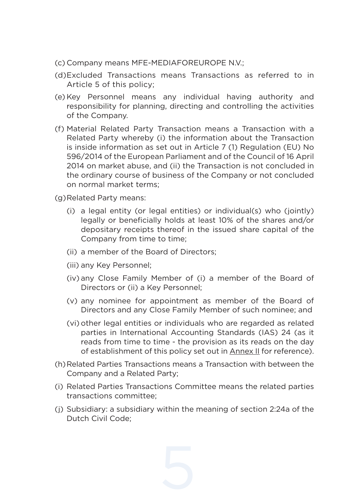- (c) Company means MFE-MEDIAFOREUROPE N.V.;
- (d)Excluded Transactions means Transactions as referred to in Article 5 of this policy;
- (e) Key Personnel means any individual having authority and responsibility for planning, directing and controlling the activities of the Company.
- (f) Material Related Party Transaction means a Transaction with a Related Party whereby (i) the information about the Transaction is inside information as set out in Article 7 (1) Regulation (EU) No 596/2014 of the European Parliament and of the Council of 16 April 2014 on market abuse, and (ii) the Transaction is not concluded in the ordinary course of business of the Company or not concluded on normal market terms;

(g)Related Party means:

- (i) a legal entity (or legal entities) or individual(s) who (jointly) legally or beneficially holds at least 10% of the shares and/or depositary receipts thereof in the issued share capital of the Company from time to time;
- (ii) a member of the Board of Directors;
- (iii) any Key Personnel;
- (iv) any Close Family Member of (i) a member of the Board of Directors or (ii) a Key Personnel;
- (v) any nominee for appointment as member of the Board of Directors and any Close Family Member of such nominee; and
- (vi) other legal entities or individuals who are regarded as related parties in International Accounting Standards (IAS) 24 (as it reads from time to time - the provision as its reads on the day of establishment of this policy set out in Annex II for reference).
- (h)Related Parties Transactions means a Transaction with between the Company and a Related Party;
- (i) Related Parties Transactions Committee means the related parties transactions committee;
- (j) Subsidiary: a subsidiary within the meaning of section 2:24a of the Dutch Civil Code;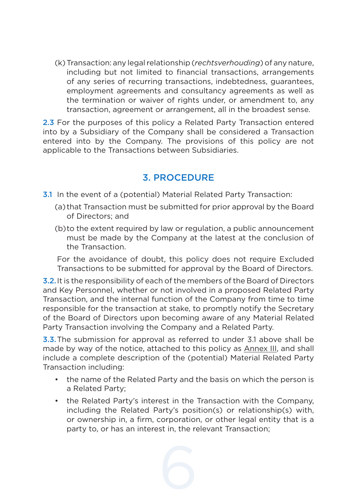(k)Transaction: any legal relationship (*rechtsverhouding*) of any nature, including but not limited to financial transactions, arrangements of any series of recurring transactions, indebtedness, guarantees, employment agreements and consultancy agreements as well as the termination or waiver of rights under, or amendment to, any transaction, agreement or arrangement, all in the broadest sense.

2.3 For the purposes of this policy a Related Party Transaction entered into by a Subsidiary of the Company shall be considered a Transaction entered into by the Company. The provisions of this policy are not applicable to the Transactions between Subsidiaries.

## 3. PROCEDURE

- 3.1 In the event of a (potential) Material Related Party Transaction:
	- (a) that Transaction must be submitted for prior approval by the Board of Directors; and
	- (b)to the extent required by law or regulation, a public announcement must be made by the Company at the latest at the conclusion of the Transaction.

For the avoidance of doubt, this policy does not require Excluded Transactions to be submitted for approval by the Board of Directors.

3.2.It is the responsibility of each of the members of the Board of Directors and Key Personnel, whether or not involved in a proposed Related Party Transaction, and the internal function of the Company from time to time responsible for the transaction at stake, to promptly notify the Secretary of the Board of Directors upon becoming aware of any Material Related Party Transaction involving the Company and a Related Party.

3.3.The submission for approval as referred to under 3.1 above shall be made by way of the notice, attached to this policy as Annex III, and shall include a complete description of the (potential) Material Related Party Transaction including:

- the name of the Related Party and the basis on which the person is a Related Party;
- the Related Party's interest in the Transaction with the Company, including the Related Party's position(s) or relationship(s) with, or ownership in, a firm, corporation, or other legal entity that is a party to, or has an interest in, the relevant Transaction;

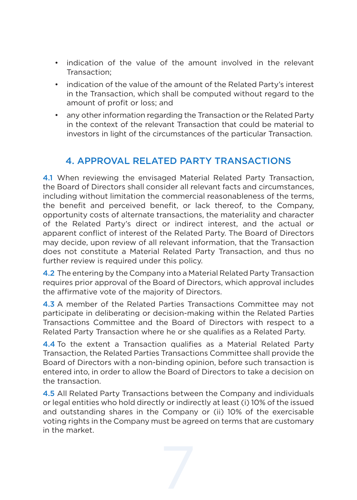- indication of the value of the amount involved in the relevant Transaction;
- indication of the value of the amount of the Related Party's interest in the Transaction, which shall be computed without regard to the amount of profit or loss; and
- any other information regarding the Transaction or the Related Party in the context of the relevant Transaction that could be material to investors in light of the circumstances of the particular Transaction.

# 4. APPROVAL RELATED PARTY TRANSACTIONS

4.1 When reviewing the envisaged Material Related Party Transaction, the Board of Directors shall consider all relevant facts and circumstances, including without limitation the commercial reasonableness of the terms, the benefit and perceived benefit, or lack thereof, to the Company, opportunity costs of alternate transactions, the materiality and character of the Related Party's direct or indirect interest, and the actual or apparent conflict of interest of the Related Party. The Board of Directors may decide, upon review of all relevant information, that the Transaction does not constitute a Material Related Party Transaction, and thus no further review is required under this policy.

4.2 The entering by the Company into a Material Related Party Transaction requires prior approval of the Board of Directors, which approval includes the affirmative vote of the majority of Directors.

4.3 A member of the Related Parties Transactions Committee may not participate in deliberating or decision-making within the Related Parties Transactions Committee and the Board of Directors with respect to a Related Party Transaction where he or she qualifies as a Related Party.

4.4 To the extent a Transaction qualifies as a Material Related Party Transaction, the Related Parties Transactions Committee shall provide the Board of Directors with a non-binding opinion, before such transaction is entered into, in order to allow the Board of Directors to take a decision on the transaction.

4.5 All Related Party Transactions between the Company and individuals or legal entities who hold directly or indirectly at least (i) 10% of the issued and outstanding shares in the Company or (ii) 10% of the exercisable voting rights in the Company must be agreed on terms that are customary in the market.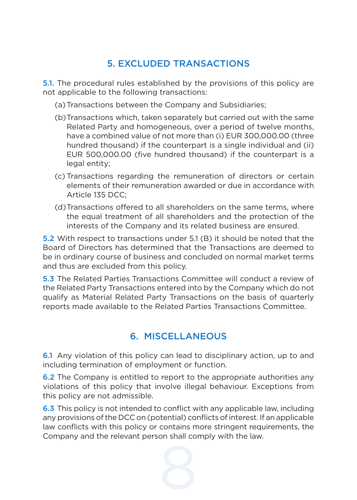## 5. EXCLUDED TRANSACTIONS

5.1. The procedural rules established by the provisions of this policy are not applicable to the following transactions:

- (a)Transactions between the Company and Subsidiaries;
- (b)Transactions which, taken separately but carried out with the same Related Party and homogeneous, over a period of twelve months, have a combined value of not more than (i) EUR 300,000.00 (three hundred thousand) if the counterpart is a single individual and (ii) EUR 500,000.00 (five hundred thousand) if the counterpart is a legal entity;
- (c) Transactions regarding the remuneration of directors or certain elements of their remuneration awarded or due in accordance with Article 135 DCC;
- (d)Transactions offered to all shareholders on the same terms, where the equal treatment of all shareholders and the protection of the interests of the Company and its related business are ensured.

5.2 With respect to transactions under 5.1 (B) it should be noted that the Board of Directors has determined that the Transactions are deemed to be in ordinary course of business and concluded on normal market terms and thus are excluded from this policy.

5.3 The Related Parties Transactions Committee will conduct a review of the Related Party Transactions entered into by the Company which do not qualify as Material Related Party Transactions on the basis of quarterly reports made available to the Related Parties Transactions Committee.

# 6. MISCELLANEOUS

6.1 Any violation of this policy can lead to disciplinary action, up to and including termination of employment or function.

6.2 The Company is entitled to report to the appropriate authorities any violations of this policy that involve illegal behaviour. Exceptions from this policy are not admissible.

6.3 This policy is not intended to conflict with any applicable law, including any provisions of the DCC on (potential) conflicts of interest. If an applicable law conflicts with this policy or contains more stringent requirements, the Company and the relevant person shall comply with the law.

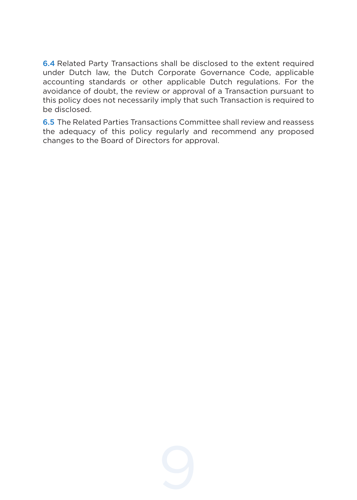6.4 Related Party Transactions shall be disclosed to the extent required under Dutch law, the Dutch Corporate Governance Code, applicable accounting standards or other applicable Dutch regulations. For the avoidance of doubt, the review or approval of a Transaction pursuant to this policy does not necessarily imply that such Transaction is required to be disclosed.

6.5 The Related Parties Transactions Committee shall review and reassess the adequacy of this policy regularly and recommend any proposed changes to the Board of Directors for approval.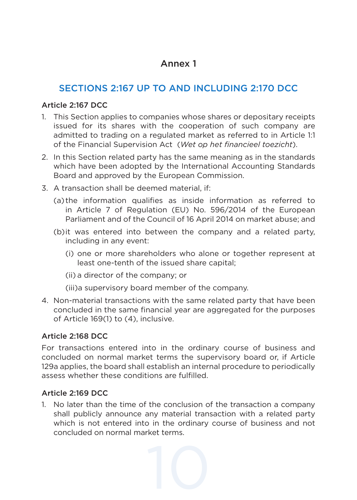## Annex 1

## SECTIONS 2:167 UP TO AND INCLUDING 2:170 DCC

#### Article 2:167 DCC

- 1. This Section applies to companies whose shares or depositary receipts issued for its shares with the cooperation of such company are admitted to trading on a regulated market as referred to in Article 1:1 of the Financial Supervision Act (*Wet op het financieel toezicht*).
- 2. In this Section related party has the same meaning as in the standards which have been adopted by the International Accounting Standards Board and approved by the European Commission.
- 3. A transaction shall be deemed material, if:
	- (a) the information qualifies as inside information as referred to in Article 7 of Regulation (EU) No. 596/2014 of the European Parliament and of the Council of 16 April 2014 on market abuse; and
	- (b)it was entered into between the company and a related party, including in any event:
		- (i) one or more shareholders who alone or together represent at least one-tenth of the issued share capital;
		- (ii) a director of the company; or
		- (iii)a supervisory board member of the company.
- 4. Non-material transactions with the same related party that have been concluded in the same financial year are aggregated for the purposes of Article 169(1) to (4), inclusive.

#### Article 2:168 DCC

For transactions entered into in the ordinary course of business and concluded on normal market terms the supervisory board or, if Article 129a applies, the board shall establish an internal procedure to periodically assess whether these conditions are fulfilled.

#### Article 2:169 DCC

1. No later than the time of the conclusion of the transaction a company shall publicly announce any material transaction with a related party which is not entered into in the ordinary course of business and not concluded on normal market terms.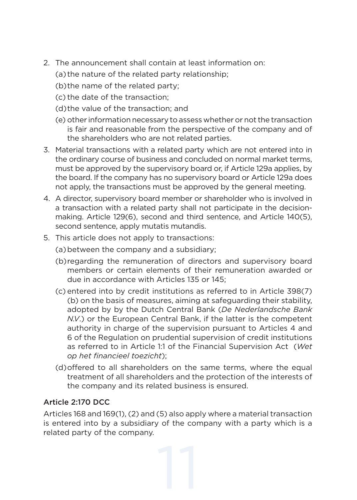- 2. The announcement shall contain at least information on:
	- (a) the nature of the related party relationship;
	- (b)the name of the related party;
	- (c) the date of the transaction;
	- (d)the value of the transaction; and
	- (e) other information necessary to assess whether or not the transaction is fair and reasonable from the perspective of the company and of the shareholders who are not related parties.
- 3. Material transactions with a related party which are not entered into in the ordinary course of business and concluded on normal market terms, must be approved by the supervisory board or, if Article 129a applies, by the board. If the company has no supervisory board or Article 129a does not apply, the transactions must be approved by the general meeting.
- 4. A director, supervisory board member or shareholder who is involved in a transaction with a related party shall not participate in the decisionmaking. Article 129(6), second and third sentence, and Article 140(5), second sentence, apply mutatis mutandis.
- 5. This article does not apply to transactions:
	- (a)between the company and a subsidiary;
	- (b)regarding the remuneration of directors and supervisory board members or certain elements of their remuneration awarded or due in accordance with Articles 135 or 145;
	- (c) entered into by credit institutions as referred to in Article 398(7) (b) on the basis of measures, aiming at safeguarding their stability, adopted by by the Dutch Central Bank (*De Nederlandsche Bank N.V*.) or the European Central Bank, if the latter is the competent authority in charge of the supervision pursuant to Articles 4 and 6 of the Regulation on prudential supervision of credit institutions as referred to in Article 1:1 of the Financial Supervision Act (*Wet op het financieel toezicht*);
	- (d)offered to all shareholders on the same terms, where the equal treatment of all shareholders and the protection of the interests of the company and its related business is ensured.

#### Article 2:170 DCC

Articles 168 and 169(1), (2) and (5) also apply where a material transaction is entered into by a subsidiary of the company with a party which is a related party of the company.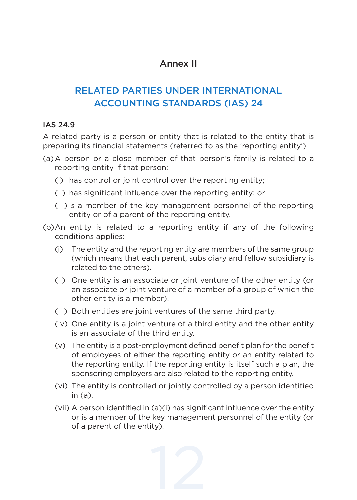### Annex II

# RELATED PARTIES UNDER INTERNATIONAL ACCOUNTING STANDARDS (IAS) 24

#### IAS 24.9

A related party is a person or entity that is related to the entity that is preparing its financial statements (referred to as the 'reporting entity')

- (a)A person or a close member of that person's family is related to a reporting entity if that person:
	- (i) has control or joint control over the reporting entity;
	- (ii) has significant influence over the reporting entity; or
	- (iii) is a member of the key management personnel of the reporting entity or of a parent of the reporting entity.
- (b)An entity is related to a reporting entity if any of the following conditions applies:
	- (i) The entity and the reporting entity are members of the same group (which means that each parent, subsidiary and fellow subsidiary is related to the others).
	- (ii) One entity is an associate or joint venture of the other entity (or an associate or joint venture of a member of a group of which the other entity is a member).
	- (iii) Both entities are joint ventures of the same third party.
	- (iv) One entity is a joint venture of a third entity and the other entity is an associate of the third entity.
	- (v) The entity is a post-employment defined benefit plan for the benefit of employees of either the reporting entity or an entity related to the reporting entity. If the reporting entity is itself such a plan, the sponsoring employers are also related to the reporting entity.
	- (vi) The entity is controlled or jointly controlled by a person identified  $in (a)$ .
	- (vii) A person identified in (a)(i) has significant influence over the entity or is a member of the key management personnel of the entity (or of a parent of the entity).

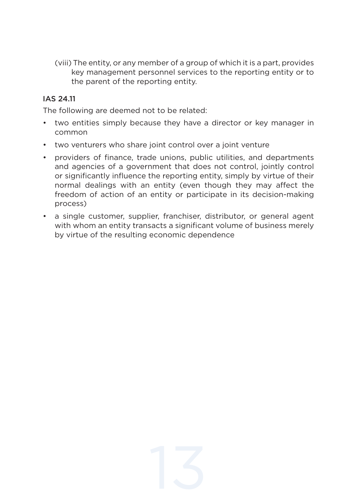(viii) The entity, or any member of a group of which it is a part, provides key management personnel services to the reporting entity or to the parent of the reporting entity.

#### IAS 24.11

The following are deemed not to be related:

- two entities simply because they have a director or key manager in common
- two venturers who share joint control over a joint venture
- providers of finance, trade unions, public utilities, and departments and agencies of a government that does not control, jointly control or significantly influence the reporting entity, simply by virtue of their normal dealings with an entity (even though they may affect the freedom of action of an entity or participate in its decision-making process)
- a single customer, supplier, franchiser, distributor, or general agent with whom an entity transacts a significant volume of business merely by virtue of the resulting economic dependence